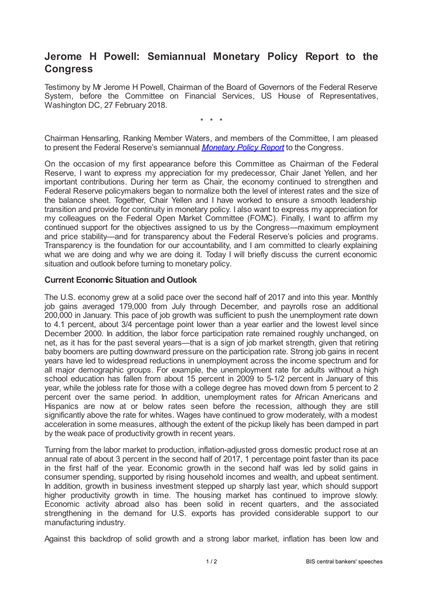## **Jerome H Powell: Semiannual Monetary Policy Report to the Congress**

Testimony by Mr Jerome H Powell, Chairman of the Board of Governors of the Federal Reserve System, before the Committee on Financial Services, US House of Representatives, Washington DC, 27 February 2018.

\* \* \*

Chairman Hensarling, Ranking Member Waters, and members of the Committee, I am pleased to present the Federal Reserve's semiannual *[Monetary](www.federalreserve.gov/monetarypolicy/mpr_default.htm) Policy Report* to the Congress.

On the occasion of my first appearance before this Committee as Chairman of the Federal Reserve, I want to express my appreciation for my predecessor, Chair Janet Yellen, and her important contributions. During her term as Chair, the economy continued to strengthen and Federal Reserve policymakers began to normalize both the level of interest rates and the size of the balance sheet. Together, Chair Yellen and I have worked to ensure a smooth leadership transition and provide for continuity in monetary policy. I also want to express my appreciation for my colleagues on the Federal Open Market Committee (FOMC). Finally, I want to affirm my continued support for the objectives assigned to us by the Congress—maximum employment and price stability—and for transparency about the Federal Reserve's policies and programs. Transparency is the foundation for our accountability, and I am committed to clearly explaining what we are doing and why we are doing it. Today I will briefly discuss the current economic situation and outlook before turning to monetary policy.

## **Current Economic Situation and Outlook**

The U.S. economy grew at a solid pace over the second half of 2017 and into this year. Monthly job gains averaged 179,000 from July through December, and payrolls rose an additional 200,000 in January. This pace of job growth was sufficient to push the unemployment rate down to 4.1 percent, about 3/4 percentage point lower than a year earlier and the lowest level since December 2000. In addition, the labor force participation rate remained roughly unchanged, on net, as it has for the past several years—that is a sign of job market strength, given that retiring baby boomers are putting downward pressure on the participation rate. Strong job gains in recent years have led to widespread reductions in unemployment across the income spectrum and for all major demographic groups. For example, the unemployment rate for adults without a high school education has fallen from about 15 percent in 2009 to 5-1/2 percent in January of this year, while the jobless rate for those with a college degree has moved down from 5 percent to 2 percent over the same period. In addition, unemployment rates for African Americans and Hispanics are now at or below rates seen before the recession, although they are still significantly above the rate for whites. Wages have continued to grow moderately, with a modest acceleration in some measures, although the extent of the pickup likely has been damped in part by the weak pace of productivity growth in recent years.

Turning from the labor market to production, inflation-adjusted gross domestic product rose at an annual rate of about 3 percent in the second half of 2017, 1 percentage point faster than its pace in the first half of the year. Economic growth in the second half was led by solid gains in consumer spending, supported by rising household incomes and wealth, and upbeat sentiment. In addition, growth in business investment stepped up sharply last year, which should support higher productivity growth in time. The housing market has continued to improve slowly. Economic activity abroad also has been solid in recent quarters, and the associated strengthening in the demand for U.S. exports has provided considerable support to our manufacturing industry.

Against this backdrop of solid growth and a strong labor market, inflation has been low and